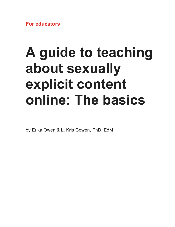**For educators** 

# **A guide to teaching about sexually explicit content online: The basics**

by Erika Owen & L. Kris Gowen, PhD, EdM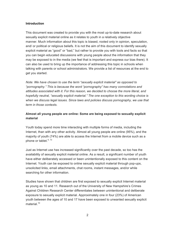#### **Introduction**

This document was created to provide you with the most up-to-date research about sexually explicit material online as it relates to youth in a relatively objective manner. Much information about this topic is biased, rooted only in opinion, speculation, and/ or political or religious beliefs. It is not the aim of this document to identify sexually explicit material as "good" or "bad," but rather to provide you with tools and facts so that you can begin educated discussions with young people about the information that they may be exposed to in the media (we feel that is important and express our bias there). It can also be used to bring up the importance of addressing this topic in schools when talking with parents or school administrators. We provide a list of resources at the end to get you started.

*Note: We have chosen to use the term "sexually explicit material" as opposed to "pornography." This is because the word "pornography" has many connotations and attitudes associated with it. For this reason, we decided to choose the more literal, and hopefully neutral, "sexually explicit material." The one exception to this wording choice is when we discuss legal issues. Since laws and policies discuss pornography, we use that term in those contexts.*

## **Almost all young people are online: Some are being exposed to sexually explicit material**

Youth today spend more time interacting with multiple forms of media, including the Internet, than with any other activity. Almost all young people are online (95%), and the majority of youth (74%) are able to access the Internet from a mobile device such as a phone or tablet. $4, 13$ 

Just as Internet use has increased significantly over the past decade, so too has the availability of sexually explicit material online. As a result, a significant number of youth have either deliberately accessed or been unintentionally exposed to this content on the Internet. Youth can be exposed to online sexually explicit material through pop-ups, unsolicited links, email attachments, chat rooms, instant messages, and/or while searching for other information.

Studies have shown that children are first exposed to sexually explicit Internet material as young as 10 and 11. Research out of the University of New Hampshire's Crimes Against Children Research Center differentiates between unintentional and deliberate exposure to sexually explicit material. Approximately one in four (23%) of American youth between the ages of 10 and 17 have been exposed to unwanted sexually explicit material $10$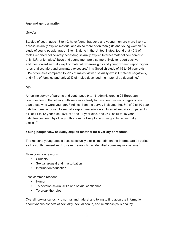#### **Age and gender matter**

#### *Gender*

Studies of youth ages 13 to 19, have found that boys and young men are more likely to access sexually explicit material and do so more often than girls and young women.<sup>8</sup> A study of young people, ages 13 to 18, done in the United States, found that 40% of males reported deliberately accessing sexually explicit Internet material compared to only 13% of females.<sup>1</sup> Boys and young men are also more likely to report positive attitudes toward sexually explicit material, whereas girls and young women report higher rates of discomfort and unwanted exposure. $8$  In a Swedish study of 15 to 25 year olds, 61% of females compared to 29% of males viewed sexually explicit material negatively, and 46% of females and only 23% of males described the material as degrading.<sup>19</sup>

#### *Age*

An online survey of parents and youth ages 9 to 16 administered in 25 European countries found that older youth were more likely to have seen sexual images online than those who were younger. Findings from the survey indicated that 5% of 9 to 10 year olds had been exposed to sexually explicit material on an Internet website compared to 8% of 11 to 12 year olds, 16% of 13 to 14 year olds, and 25% of 15 to 16 year olds. Images seen by older youth are more likely to be more graphic or sexually explicit. $11$ 

## **Young people view sexually explicit material for a variety of reasons**

The reasons young people access sexually explicit material on the Internet are as varied as the youth themselves. However, research has identified some key motivations:<sup>8</sup>

More common reasons:

- Curiosity
- Sexual arousal and masturbation
- Information/education

Less common reasons:

- Humor
- To develop sexual skills and sexual confidence
- To break the rules

Overall, sexual curiosity is normal and natural and trying to find accurate information about various aspects of sexuality, sexual health, and relationships is healthy.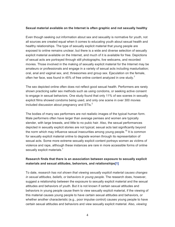#### **Sexual material available on the Internet is often graphic and not sexually healthy**

Even though seeking out information about sex and sexuality is normative for youth, not all sources are created equal when it comes to educating youth about sexual health and healthy relationships. The type of sexually explicit material that young people are exposed to online remains unclear, but there is a wide and diverse selection of sexually explicit material available on the Internet, and much of it is available for free. Depictions of sexual acts are portrayed through still photographs, live webcams, and recorded movies. Those involved in the making of sexually explicit material for the Internet may be amateurs or professionals and engage in a variety of sexual acts including masturbation; oral, anal and vaginal sex, and; threesomes and group sex. Ejaculation on the female, often her face, was found in 45% of free online content analyzed in one study.<sup>7</sup>

The sex depicted online often does not reflect good sexual health. Performers are rarely shown practicing safer sex methods such as using condoms, or seeking active consent to engage in sexual behaviors. One study found that only 11% of sex scenes in sexually explicit films showed condoms being used, and only one scene in over 300 movies included discussion about pregnancy and  $STIs.<sup>2</sup>$ 

The bodies of many sex performers are not realistic images of the typical human form. Male performers often have larger than average penises and women are typically slender, with large breasts, and little to no pubic hair. Also, the sexual performances depicted in sexually explicit stories are not typical; sexual acts last significantly beyond the norm which may influence sexual insecurities among young people.<sup>15</sup> It is common for sexually explicit material online to degrade women through its representation of sexual acts. Some more extreme sexually explicit content portrays women as victims of violence and rape, although these instances are rare in more accessible forms of online sexually explicit materials.<sup>7</sup>

## **Research finds that there is an association between exposure to sexually explicit materials and sexual attitudes, behaviors, and relationships[\[1\]](#page-11-0)**

To date, *research has not shown that viewing sexually explicit material causes changes in sexual attitudes, beliefs, or behaviors in young people*. The research does, however, suggest a relationship between the exposure to sexually explicit material and the sexual attitudes and behaviors of youth. But it is not known if certain sexual attitudes and behaviors in young people cause them to view sexually explicit material, if the viewing of this material causes young people to have certain sexual attitudes and behaviors, or whether another characteristic (e.g., poor impulse control) causes young people to have certain sexual attitudes and behaviors and view sexually explicit material. Also, *viewing*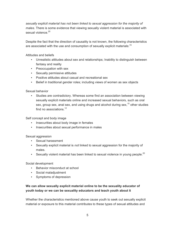*sexually explicit material has not been linked to sexual aggression for the majority of males*. There is some evidence that viewing sexually violent material is associated with sexual violence  $20$ 

Despite the fact that the direction of causality is not known, the following characteristics are associated with the use and consumption of sexually explicit materials:<sup>15</sup>

Attitudes and beliefs

- Unrealistic attitudes about sex and relationships; Inability to distinguish between fantasy and reality
- Preoccupation with sex
- Sexually permissive attitudes
- Positive attitudes about casual and recreational sex
- Belief in traditional gender roles; including views of women as sex objects

Sexual behavior

• Studies are contradictory. Whereas some find an association between viewing sexually explicit materials online and increased sexual behaviors, such as oral sex, group sex, anal sex, and using drugs and alcohol during sex,  $15$  other studies find no associations  $12$ 

Self concept and body image

- Insecurities about body image in females
- Insecurities about sexual performance in males

Sexual aggression

- Sexual harassment
- Sexually explicit material is *not* linked to sexual aggression for the majority of males.
- Sexually violent material has been linked to sexual violence in young people.<sup>20</sup>

Social development

- Behavior misconduct at school
- Social maladjustment
- Symptoms of depression

## **We can allow sexually explicit material online to be the sexuality educator of youth today or we can be sexuality educators and teach youth about it**

Whether the characteristics mentioned above cause youth to seek out sexually explicit material or exposure to this material contributes to these types of sexual attitudes and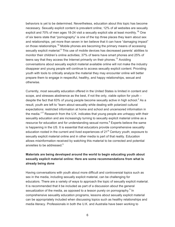behaviors is yet to be determined. Nevertheless, education about this topic has become necessary. Sexually explicit content is prevalent online; 12% of all websites are sexually explicit and 70% of men ages 18-24 visit a sexually explicit site at least monthly.<sup>18</sup> One of six teens state that "pornography" is one of the top three places they learn about sex and relationships, yet more than seven in ten believe that it can have "damaging impact" on those relationships.<sup>16</sup> Mobile phones are becoming the primary means of accessing sexually explicit material.<sup>8</sup> This use of mobile devices has decreased parents' abilities to monitor their children's online activities; 37% of teens have smart phones and 25% of teens say that they access the Internet primarily on their phones.<sup>13</sup> Avoiding conversations about sexually explicit material available online will not make the industry disappear and young people will continue to access sexually explicit content. Providing youth with tools to critically analyze the material they may encounter online will better prepare them to engage in respectful, healthy, and happy relationships, sexual and otherwise.

Currently, most sexuality education offered in the United States is limited in content and scope, and stresses abstinence as the best, if not the only, viable option for youth – despite the fact that 63% of young people become sexually active in high school.<sup>3</sup> As a result, youth are left to "learn about sexuality while dealing with polarized cultural expectations: restricted information at home and school and uncensored information in the media."<sup>17</sup> Research from the U.K. indicates that young people are unhappy with their sexuality education and are increasingly turning to sexually explicit material online as a resource for education and for understanding sexual norms. $8$  Experts believe the same is happening in the US. It is essential that educators provide comprehensive sexuality education rooted in the current and lived experiences of  $21<sup>st</sup>$  Century youth; exposure to sexually explicit material online and in other media is part of that reality. Education allows misinformation received by watching this material to be corrected and potential anxieties to be addressed.<sup>5</sup>

## **Materials are being developed around the world to begin educating youth about sexually explicit material online: Here are some recommendations from what is already being done**

Having conversations with youth about more difficult and controversial topics such as sex in the media, including sexually explicit material, can be challenging for educators. There are a variety of ways to approach the topic of sexually explicit material. It is recommended that it be included as part of a discussion about the general sexualization of the media, as opposed to a lesson purely on pornography.<sup>5</sup> In comprehensive sexuality education programs, lessons about sexually explicit material can be appropriately included when discussing topics such as healthy relationships and media literacy. Professionals in both the U.K. and Australia have been working to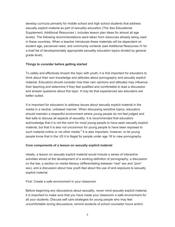develop curricula primarily for middle school and high school students that address sexually explicit material as part of sexuality education (The Sex Educational Supplement, Additional Resources I, includes lesson plan ideas for almost all age levels). The following recommendations were taken from resources already being used in these countries. When a teacher introduces these materials will be dependent on student age, perceived need, and community contexts (see Additional Resources IV for a brief list of developmentally appropriate sexuality education topics divided by general grade level).

#### **Things to consider before getting started**

To safely and effectively broach the topic with youth, it is first important for educators to think about their own knowledge and attitudes about pornography and sexually explicit material. Educators should consider how their own opinions and attitudes may influence their teaching and determine if they feel qualified and comfortable to lead a discussion and answer questions about this topic. It may be that experienced sex educators are better suited.

It is important for educators to address issues about sexually explicit material in the media in a neutral, unbiased manner. When discussing sensitive topics, educators should maintain a respectful environment where young people do not feel judged and feel safe to discuss all aspects of sexuality. It is recommended that educators acknowledge that it is not the norm for most young people to have seen sexually explicit material, but that it is also not uncommon for young people to have been exposed to such material online or via other media.<sup>5</sup> It is also important, however, to let young people know that in the US it is illegal for people under age 18 to view pornography.

#### **Core components of a lesson on sexually explicit material**

Ideally, a lesson on sexually explicit material would include a series of interactive activities aimed at the development of a working definition of pornography, a discussion on the law, a section on media literacy (differentiating between "real" sex and "porn" sex), and a discussion about how youth feel about the use of and exposure to sexually explicit material.

First: Create a safe environment in your classroom

Before beginning any discussions about sexuality, never mind sexually explicit material, it is important to make sure that you have made your classroom a safe environment for all your students. Discuss self care strategies for young people who may feel uncomfortable during discussions; remind students of school counselor hours and/or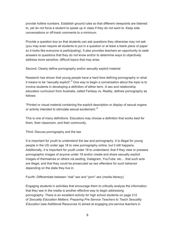provide hotline numbers. Establish ground rules so that different viewpoints are listened to, yet do not force a student to speak up in class if they do not want to. Keep side conversations or off-track comments to a minimum.

Provide a question box so that students can ask questions they otherwise may not ask (you may even require all students to put in a question or at least a blank piece of paper so it looks like everyone is participating). It also provides teachers an opportunity to seek answers to questions that they do not know and/or to determine ways to objectively address more sensitive, difficult topics that may arise.

Second: Clearly define pornography and/or sexually explicit material

Research has shown that young people have a hard time defining pornography or what it means to be "sexually explicit".<sup>8</sup> One way to begin a conversation about the topic is to involve students in developing a definition of either term. A sex and relationship education curriculum from Australia, called Fantasy vs. Reality, defines pornography as follows:

"Printed or visual material containing the explicit description or display of sexual organs or activity intended to stimulate sexual excitement."<sup>5</sup>

This is one of many definitions. Educators may choose a definition that works best for them, their classroom, and their community.

Third: Discuss pornography and the law

It is important for youth to understand the law and pornography. It is illegal for young people in the US under age 18 to view pornography online, but it still happens. Additionally, it is important for youth under 18 to understand, that if they view or possess pornographic images of anyone under 18 and/or create and share sexually explicit images of themselves or others via sexting, Instagram, YouTube, etc… that such acts are illegal, and that they could be prosecuted as sex offenders for such behavior depending on the state they live in.

Fourth: Differentiate between "real" sex and "porn" sex (media literacy)

Engaging students in activities that encourage them to critically analyze the information that they see in the media is another effective way to begin addressing pornography. There is an excellent activity for high school students on page 312 of *Sexuality Education Matters: Preparing Pre-Service Teachers to Teach Sexuality Education* (see Additional Resources II) aimed at engaging pre-service teachers in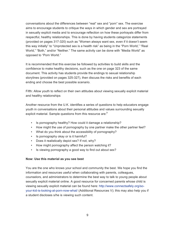conversations about the differences between "real" sex and "porn" sex. The exercise aims to encourage students to critique the ways in which gender and sex are portrayed in sexually explicit media and to encourage reflection on how these portrayals differ from respectful, healthy relationships. This is done by having students categorize statements (provided on pages 317-320) such as "Women always want sex, even if it doesn't seem this way initially" to "Unprotected sex is a health risk" as being in the "Porn World," "Real World," "Both," and/or "Neither." The same activity can be done with "Media World" as opposed to "Porn World."

It is recommended that this exercise be followed by activities to build skills and the confidence to make healthy decisions, such as the one on page 323 of the same document. This activity has students provide the endings to sexual relationship storylines (provided on pages 325-327), then discuss the risks and benefits of each ending and choose the best possible scenario.

Fifth: Allow youth to reflect on their own attitudes about viewing sexually explicit material and healthy relationships

Another resource from the U.K. identifies a series of questions to help educators engage youth in conversations about their personal attitudes and values surrounding sexually explicit material. Sample questions from this resource are:<sup>9</sup>

- Is pornography healthy? How could it damage a relationship?
- How might the use of pornography by one partner make the other partner feel?
- What do you think about the accessibility of pornography?
- Is pornography okay or is it harmful?
- Does it realistically depict sex? If not, why?
- How might pornography affect the person watching it?
- Is viewing pornography a good way to find out about sex?

#### **Now: Use this material as you see best**

You are the one who knows your school and community the best. We hope you find the information and resources useful when collaborating with parents, colleagues, counselors, and administrators to determine the best way to talk to young people about sexually explicit material online. A good resource for concerned parents whose child is viewing sexually explicit material can be found here: [http://www.connectsafely.org/so](http://www.connectsafely.org/so-your-kid-is-looking-at-porn-now-what/)[your-kid-is-looking-at-porn-now-what/](http://www.connectsafely.org/so-your-kid-is-looking-at-porn-now-what/) (Additional Resources V); this may also help you if a student discloses s/he is viewing such content.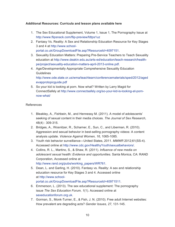## **Additional Resources: Curricula and lesson plans available here**

- 1. The Sex Educational Supplement, Volume 1, Issue 1, The Pornography Issue at <http://www.flipsnack.com/flip-preview/fdtps1uz>
- 2. Fantasy Vs. Reality: A Sex and Relationship Education Resource for Key Stages 3 and 4 at [http://www.school](http://www.school-portal.co.uk/GroupDownloadFile.asp?ResourceId=4097151)[portal.co.uk/GroupDownloadFile.asp?ResourceId=4097151.](http://www.school-portal.co.uk/GroupDownloadFile.asp?ResourceId=4097151)
- 3. Sexuality Education Matters: Preparing Pre-Service Teachers to Teach Sexuality education at [http://www.deakin.edu.au/arts-ed/education/teach-research/health](http://www.deakin.edu.au/arts-ed/education/teach-research/health-pe/project/sexuality-education-matters-april-2013-online.pdf)[pe/project/sexuality-education-matters-april-2013-online.pdf.](http://www.deakin.edu.au/arts-ed/education/teach-research/health-pe/project/sexuality-education-matters-april-2013-online.pdf)
- 4. Age/Developmentally Appropriate Comprehensive Sexuality Education Guidelines

[http://www.ode.state.or.us/wma/teachlearn/conferencematerials/sped/2012/aged](http://www.ode.state.or.us/wma/teachlearn/conferencematerials/sped/2012/agedevapprotopicguide.pdf) [evapprotopicguide.pdf](http://www.ode.state.or.us/wma/teachlearn/conferencematerials/sped/2012/agedevapprotopicguide.pdf)

5. So your kid is looking at porn. Now what? Written by Larry Magid for ConnectSafely at [http://www.connectsafely.org/so-your-kid-is-looking-at-porn](http://www.connectsafely.org/so-your-kid-is-looking-at-porn-now-what/)now-what/

## References

- 1. Bleakley, A., Fishbein, M., and Hennessy M. (2011). A model of adolescents' seeking of sexual content in their media choices. *The Journal of Sex Research*, 48(4) : 309-315.
- 2. Bridges, A., Wosnitzer, R., Scharner, E., Sun, C., and Liberman, R. (2010). Aggression and sexual behavior in best-selling pornography videos: A content analysis update. *Violence Against Women, 16*, 1065-1085.
- 3. Youth risk behavior surveillance—United States, 2011. *MMWR* 2012;61(SS-4). Accessed online at [http://www.cdc.gov/HealthyYouth/sexualbehaviors/.](http://www.cdc.gov/HealthyYouth/sexualbehaviors/)
- 4. Collins, R. L., Martino, S., & Shaw, R. (2011). *Influence of new media on adolescent sexual health: Evidence and opportunities.* Santa Monica, CA: RAND Corporation, Accessed online at [http://www.rand.org/pubs/working\\_papers/WR761](http://www.rand.org/pubs/working_papers/WR761).
- 5. Dean, L. and Garling, H. (2010). Fantasy vs. Reality: A sex and relationship education resource for Key Stages 3 and 4. Accessed online at [http://www.school](http://https://www.school-portal.co.uk/)[portal.co.uk/GroupDownloadFile.asp?ResourceId=40971511.](http://https://www.school-portal.co.uk/)
- 6. Emmerson, L. (2013). The sex educational supplement: The pornography issue *The Sex Education Forum, 1*(1). Accessed online at [sexeducationforum.org.uk.](http://sexeducationforum.org.uk)
- 7. Gorman, S., Monk-Turner, E., & Fish, J. N. (2010). Free adult Internet websites: How prevalent are degrading acts? *Gender Issues, 27,* 131-145.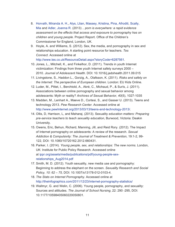- 8. [Horvath,](http://eprints.mdx.ac.uk/view/creators/Horvath=3AMiranda_A=2E_H=2E.html) Miranda A. H., Alys, [Llian](http://eprints.mdx.ac.uk/view/creators/Alys=3ALlian.html), [Massey,](http://eprints.mdx.ac.uk/view/creators/Massey=3AKristina.html) Kristina, Pina, [Afroditi,](http://eprints.mdx.ac.uk/view/creators/Pina=3AAfroditi.html) [Scally,](http://eprints.mdx.ac.uk/view/creators/Scally=3AMia.html) [Mia](http://eprints.mdx.ac.uk/view/creators/Scally=3AMia.html) and Adler, [Joanna](http://eprints.mdx.ac.uk/view/creators/Adler=3AJoanna_R=2E.html) R. (2013) *.. porn is everywhere: a rapid evidence assessment on the effects that access and exposure to pornography has on children and young people.* Project Report. Office of the Children's Commissioner for England, London, UK.
- 9. Hoyle, A. and Williams, S. (2012). Sex, the media, and pornography in sex and relationships education. A starting point resource for teachers. *Tes Connect*. Accessed online at <http://www.tes.co.uk/ResourceDetail.aspx?storyCode=6287561>.
- 10. Jones, L., Mitchell, K., and Finkelhor, D. (2011). Trends in youth Internet victimization: Findings from three youth Internet safety surveys 2000 – 2010. *Journal of Adolescent Health*. DOI: 10.1016/j.jadohealth.2011.09.015
- 11. Livingstone, S., Haddon L., Gorzig, A., Olafsson, K. (2011). *Risks and safety on the Internet: The perspective of European children.* London: EU Kids Online.
- 12. Luder, M., Pittet, I., Berchtold, A., Akré, C., Michaud, P., & Surís, J. (2011). Associations between online pornography and sexual behavior among adolescents: Myth or reality? *Archives of Sexual Behavior*, *40*(5), 1027-1035
- 13. Madden, M., Lenhart A., Maeve D., Cortesi, S., and Gasser U. (2013). Teens and technology 2013. *Pew Research Center.* Accessed online at [http://www.pewInternet.org/2013/03/13/teens-and-technology-2013/.](http://www.pewInternet.org/2013/03/13/teens-and-technology-2013/)
- 14. Ollis, D, Harrison, L, and Maharaj. (2013). Sexuality *education matters: Preparing pre-service teachers to teach sexuality education*, Burwood, Victoria: Deakin University.
- 15. Owens, Eric, Behun, Richard, Manning, Jill, and Reid Rory. (2012). The Impact of Internet pornography on adolescents: A review of the research. *Sexual Addiction & Compulsivity: The Journal of Treatment & Prevention,* 19:1-2, 99- 122, DOI: 10.1080/10720162.2012.660431.
- 16. Parker, I. (2014). *Young people, sex, and relationships: The new norms.* London, UK: Institute for Public Policy Research. Accessed online at [ippr.org/assets/media/publications/pdf/young-people-sex](http://ippr.org/assets/media/publications/pdf/young-people-sex-relationships_Aug2014.pdf)[relationships\\_Aug2014.pdf](http://ippr.org/assets/media/publications/pdf/young-people-sex-relationships_Aug2014.pdf)
- 17. Smith, M. D. (2012). Youth sexuality, new media use and pornography: Beginning to address the elephant on the screen. *Sexuality Research and Social Policy, 10: 62 – 75,* DOI: 10.1007/s13178-012-0103-4.
- 18. *The Stats on Internet Pornography.* Accessed online at <http://theinfographics.com/2011/12/23/internet-pornography-statistics/>
- 19. Wallmyr, G. and Welin, C. (2006). Young people, pornography, and sexuality: Sources and attitudes. *The Journal of School Nursing*, 22: 290 -295, DOI: 10.1177/10598405060220050801.